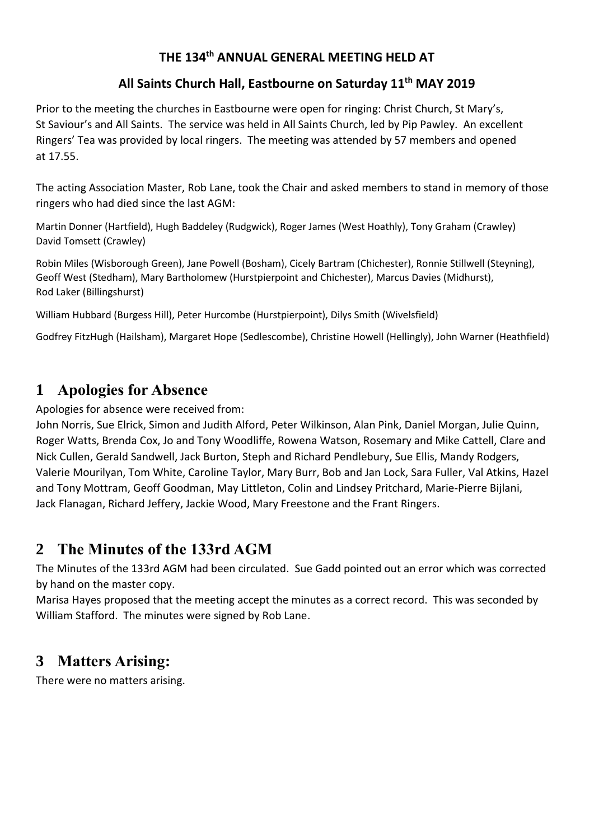#### **THE 134 th ANNUAL GENERAL MEETING HELD AT**

#### **All Saints Church Hall, Eastbourne on Saturday 11 th MAY 2019**

Prior to the meeting the churches in Eastbourne were open for ringing: Christ Church, St Mary's, St Saviour's and All Saints. The service was held in All Saints Church, led by Pip Pawley. An excellent Ringers' Tea was provided by local ringers. The meeting was attended by 57 members and opened at 17.55.

The acting Association Master, Rob Lane, took the Chair and asked members to stand in memory of those ringers who had died since the last AGM:

Martin Donner (Hartfield), Hugh Baddeley (Rudgwick), Roger James (West Hoathly), Tony Graham (Crawley) David Tomsett (Crawley)

Robin Miles (Wisborough Green), Jane Powell (Bosham), Cicely Bartram (Chichester), Ronnie Stillwell (Steyning), Geoff West (Stedham), Mary Bartholomew (Hurstpierpoint and Chichester), Marcus Davies (Midhurst), Rod Laker (Billingshurst)

William Hubbard (Burgess Hill), Peter Hurcombe (Hurstpierpoint), Dilys Smith (Wivelsfield)

Godfrey FitzHugh (Hailsham), Margaret Hope (Sedlescombe), Christine Howell (Hellingly), John Warner (Heathfield)

# **1 Apologies for Absence**

Apologies for absence were received from:

John Norris, Sue Elrick, Simon and Judith Alford, Peter Wilkinson, Alan Pink, Daniel Morgan, Julie Quinn, Roger Watts, Brenda Cox, Jo and Tony Woodliffe, Rowena Watson, Rosemary and Mike Cattell, Clare and Nick Cullen, Gerald Sandwell, Jack Burton, Steph and Richard Pendlebury, Sue Ellis, Mandy Rodgers, Valerie Mourilyan, Tom White, Caroline Taylor, Mary Burr, Bob and Jan Lock, Sara Fuller, Val Atkins, Hazel and Tony Mottram, Geoff Goodman, May Littleton, Colin and Lindsey Pritchard, Marie-Pierre Bijlani, Jack Flanagan, Richard Jeffery, Jackie Wood, Mary Freestone and the Frant Ringers.

# **2 The Minutes of the 133rd AGM**

The Minutes of the 133rd AGM had been circulated. Sue Gadd pointed out an error which was corrected by hand on the master copy.

Marisa Hayes proposed that the meeting accept the minutes as a correct record. This was seconded by William Stafford. The minutes were signed by Rob Lane.

# **3 Matters Arising:**

There were no matters arising.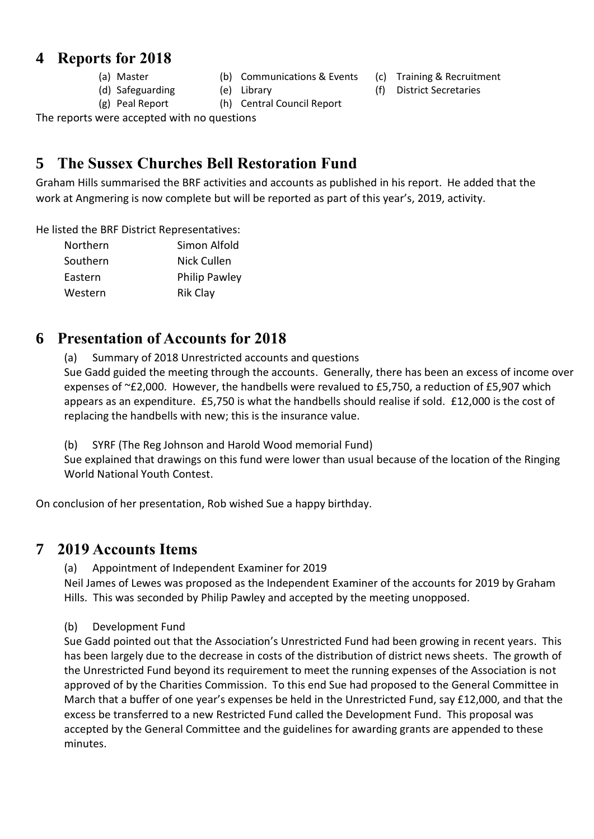### **4 Reports for 2018**

- 
- (a) Master (b) Communications & Events (c) Training & Recruitment
	-
- 
- (g) Peal Report (h) Central Council Report

The reports were accepted with no questions

## **5 The Sussex Churches Bell Restoration Fund**

Graham Hills summarised the BRF activities and accounts as published in his report. He added that the work at Angmering is now complete but will be reported as part of this year's, 2019, activity.

He listed the BRF District Representatives:

| Northern | Simon Alfold         |
|----------|----------------------|
| Southern | Nick Cullen          |
| Eastern  | <b>Philip Pawley</b> |
| Western  | <b>Rik Clay</b>      |

### **6 Presentation of Accounts for 2018**

(a) Summary of 2018 Unrestricted accounts and questions Sue Gadd guided the meeting through the accounts. Generally, there has been an excess of income over expenses of ~£2,000. However, the handbells were revalued to £5,750, a reduction of £5,907 which appears as an expenditure. £5,750 is what the handbells should realise if sold. £12,000 is the cost of replacing the handbells with new; this is the insurance value.

(b) SYRF (The Reg Johnson and Harold Wood memorial Fund)

Sue explained that drawings on this fund were lower than usual because of the location of the Ringing World National Youth Contest.

On conclusion of her presentation, Rob wished Sue a happy birthday.

#### **7 2019 Accounts Items**

(a) Appointment of Independent Examiner for 2019

Neil James of Lewes was proposed as the Independent Examiner of the accounts for 2019 by Graham Hills. This was seconded by Philip Pawley and accepted by the meeting unopposed.

#### (b) Development Fund

Sue Gadd pointed out that the Association's Unrestricted Fund had been growing in recent years. This has been largely due to the decrease in costs of the distribution of district news sheets. The growth of the Unrestricted Fund beyond its requirement to meet the running expenses of the Association is not approved of by the Charities Commission. To this end Sue had proposed to the General Committee in March that a buffer of one year's expenses be held in the Unrestricted Fund, say £12,000, and that the excess be transferred to a new Restricted Fund called the Development Fund. This proposal was accepted by the General Committee and the guidelines for awarding grants are appended to these minutes.

(d) Safeguarding (e) Library (f) District Secretaries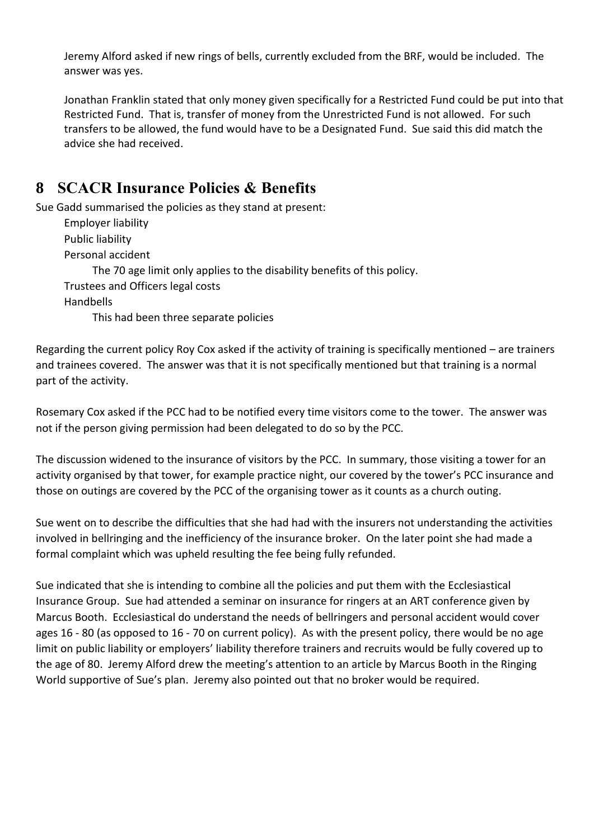Jeremy Alford asked if new rings of bells, currently excluded from the BRF, would be included. The answer was yes.

Jonathan Franklin stated that only money given specifically for a Restricted Fund could be put into that Restricted Fund. That is, transfer of money from the Unrestricted Fund is not allowed. For such transfers to be allowed, the fund would have to be a Designated Fund. Sue said this did match the advice she had received.

### **8 SCACR Insurance Policies & Benefits**

Sue Gadd summarised the policies as they stand at present: Employer liability Public liability Personal accident The 70 age limit only applies to the disability benefits of this policy. Trustees and Officers legal costs Handbells This had been three separate policies

Regarding the current policy Roy Cox asked if the activity of training is specifically mentioned – are trainers and trainees covered. The answer was that it is not specifically mentioned but that training is a normal part of the activity.

Rosemary Cox asked if the PCC had to be notified every time visitors come to the tower. The answer was not if the person giving permission had been delegated to do so by the PCC.

The discussion widened to the insurance of visitors by the PCC. In summary, those visiting a tower for an activity organised by that tower, for example practice night, our covered by the tower's PCC insurance and those on outings are covered by the PCC of the organising tower as it counts as a church outing.

Sue went on to describe the difficulties that she had had with the insurers not understanding the activities involved in bellringing and the inefficiency of the insurance broker. On the later point she had made a formal complaint which was upheld resulting the fee being fully refunded.

Sue indicated that she is intending to combine all the policies and put them with the Ecclesiastical Insurance Group. Sue had attended a seminar on insurance for ringers at an ART conference given by Marcus Booth. Ecclesiastical do understand the needs of bellringers and personal accident would cover ages 16 - 80 (as opposed to 16 - 70 on current policy). As with the present policy, there would be no age limit on public liability or employers' liability therefore trainers and recruits would be fully covered up to the age of 80. Jeremy Alford drew the meeting's attention to an article by Marcus Booth in the Ringing World supportive of Sue's plan. Jeremy also pointed out that no broker would be required.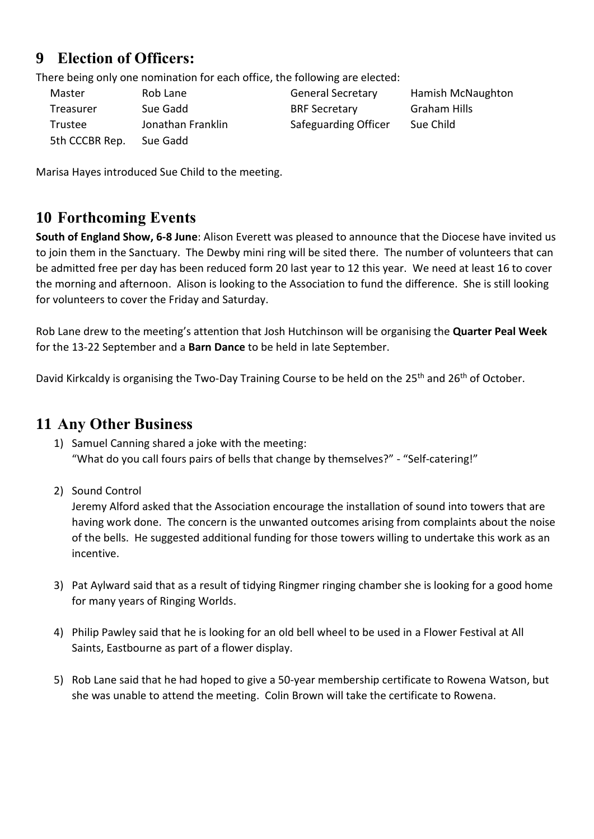## **9 Election of Officers:**

There being only one nomination for each office, the following are elected:

Master Rob Lane General Secretary Hamish McNaughton Treasurer Sue Gadd BRF Secretary Graham Hills Trustee **Sume Jonathan Franklin** Safeguarding Officer Sue Child 5th CCCBR Rep. Sue Gadd

Marisa Hayes introduced Sue Child to the meeting.

## **10 Forthcoming Events**

**South of England Show, 6-8 June**: Alison Everett was pleased to announce that the Diocese have invited us to join them in the Sanctuary. The Dewby mini ring will be sited there. The number of volunteers that can be admitted free per day has been reduced form 20 last year to 12 this year. We need at least 16 to cover the morning and afternoon. Alison is looking to the Association to fund the difference. She is still looking for volunteers to cover the Friday and Saturday.

Rob Lane drew to the meeting's attention that Josh Hutchinson will be organising the **Quarter Peal Week** for the 13-22 September and a **Barn Dance** to be held in late September.

David Kirkcaldy is organising the Two-Day Training Course to be held on the 25<sup>th</sup> and 26<sup>th</sup> of October.

#### **11 Any Other Business**

- 1) Samuel Canning shared a joke with the meeting: "What do you call fours pairs of bells that change by themselves?" - "Self-catering!"
- 2) Sound Control

Jeremy Alford asked that the Association encourage the installation of sound into towers that are having work done. The concern is the unwanted outcomes arising from complaints about the noise of the bells. He suggested additional funding for those towers willing to undertake this work as an incentive.

- 3) Pat Aylward said that as a result of tidying Ringmer ringing chamber she is looking for a good home for many years of Ringing Worlds.
- 4) Philip Pawley said that he is looking for an old bell wheel to be used in a Flower Festival at All Saints, Eastbourne as part of a flower display.
- 5) Rob Lane said that he had hoped to give a 50-year membership certificate to Rowena Watson, but she was unable to attend the meeting. Colin Brown will take the certificate to Rowena.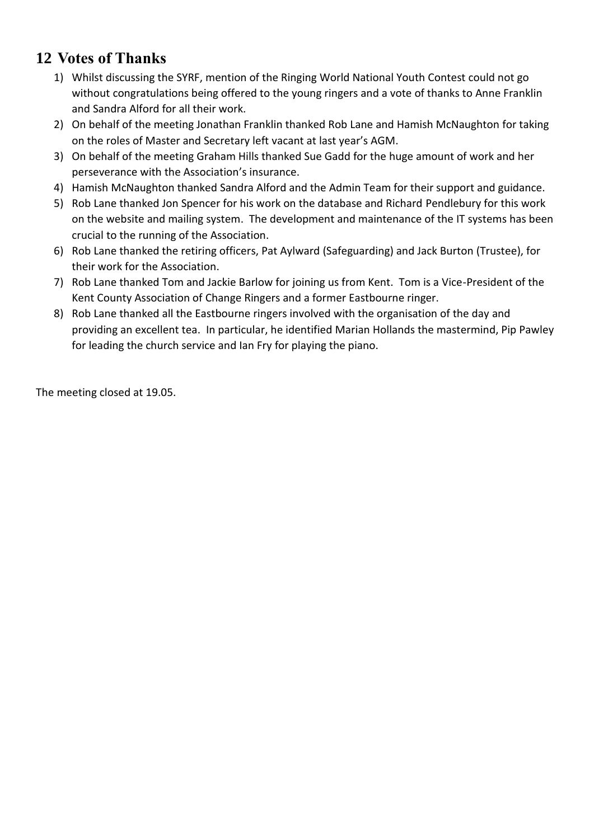## **12 Votes of Thanks**

- 1) Whilst discussing the SYRF, mention of the Ringing World National Youth Contest could not go without congratulations being offered to the young ringers and a vote of thanks to Anne Franklin and Sandra Alford for all their work.
- 2) On behalf of the meeting Jonathan Franklin thanked Rob Lane and Hamish McNaughton for taking on the roles of Master and Secretary left vacant at last year's AGM.
- 3) On behalf of the meeting Graham Hills thanked Sue Gadd for the huge amount of work and her perseverance with the Association's insurance.
- 4) Hamish McNaughton thanked Sandra Alford and the Admin Team for their support and guidance.
- 5) Rob Lane thanked Jon Spencer for his work on the database and Richard Pendlebury for this work on the website and mailing system. The development and maintenance of the IT systems has been crucial to the running of the Association.
- 6) Rob Lane thanked the retiring officers, Pat Aylward (Safeguarding) and Jack Burton (Trustee), for their work for the Association.
- 7) Rob Lane thanked Tom and Jackie Barlow for joining us from Kent. Tom is a Vice-President of the Kent County Association of Change Ringers and a former Eastbourne ringer.
- 8) Rob Lane thanked all the Eastbourne ringers involved with the organisation of the day and providing an excellent tea. In particular, he identified Marian Hollands the mastermind, Pip Pawley for leading the church service and Ian Fry for playing the piano.

The meeting closed at 19.05.